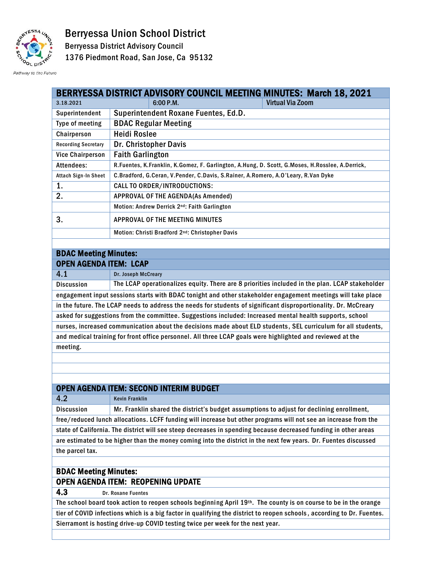

## Berryessa Union School District Berryessa District Advisory Council

1376 Piedmont Road, San Jose, Ca 95132

Pathway to the Future

| <b>BERRYESSA DISTRICT ADVISORY COUNCIL MEETING MINUTES: March 18, 2021</b> |                                                                                                 |           |                         |  |  |  |
|----------------------------------------------------------------------------|-------------------------------------------------------------------------------------------------|-----------|-------------------------|--|--|--|
| 3.18.2021                                                                  |                                                                                                 | 6:00 P.M. | <b>Virtual Via Zoom</b> |  |  |  |
| Superintendent                                                             | Superintendent Roxane Fuentes, Ed.D.                                                            |           |                         |  |  |  |
| Type of meeting                                                            | <b>BDAC Regular Meeting</b>                                                                     |           |                         |  |  |  |
| Chairperson                                                                | <b>Heidi Roslee</b>                                                                             |           |                         |  |  |  |
| <b>Recording Secretary</b>                                                 | Dr. Christopher Davis                                                                           |           |                         |  |  |  |
| <b>Vice Chairperson</b>                                                    | <b>Faith Garlington</b>                                                                         |           |                         |  |  |  |
| Attendees:                                                                 | R.Fuentes, K.Franklin, K.Gomez, F. Garlington, A.Hung, D. Scott, G.Moses, H.Rosslee, A.Derrick, |           |                         |  |  |  |
| Attach Sign-In Sheet                                                       | C.Bradford, G.Ceran, V.Pender, C.Davis, S.Rainer, A.Romero, A.O'Leary, R.Van Dyke               |           |                         |  |  |  |
| 1.                                                                         | CALL TO ORDER/INTRODUCTIONS:                                                                    |           |                         |  |  |  |
| 2.                                                                         | <b>APPROVAL OF THE AGENDA(As Amended)</b>                                                       |           |                         |  |  |  |
|                                                                            | Motion: Andrew Derrick 2 <sup>nd</sup> : Faith Garlington                                       |           |                         |  |  |  |
| 3.                                                                         | APPROVAL OF THE MEETING MINUTES                                                                 |           |                         |  |  |  |
|                                                                            | Motion: Christi Bradford 2 <sup>nd</sup> : Christopher Davis                                    |           |                         |  |  |  |
|                                                                            |                                                                                                 |           |                         |  |  |  |
| <b>BDAC Meeting Minutes:</b>                                               |                                                                                                 |           |                         |  |  |  |

## OPEN AGENDA ITEM: LCAP

| 4.1                                                                                                             | Dr. Joseph McCreary                                                                            |  |  |  |
|-----------------------------------------------------------------------------------------------------------------|------------------------------------------------------------------------------------------------|--|--|--|
| <b>Discussion</b>                                                                                               | The LCAP operationalizes equity. There are 8 priorities included in the plan. LCAP stakeholder |  |  |  |
| engagement input sessions starts with BDAC tonight and other stakeholder engagement meetings will take place    |                                                                                                |  |  |  |
| in the future. The LCAP needs to address the needs for students of significant disproportionality. Dr. McCreary |                                                                                                |  |  |  |
| asked for suggestions from the committee. Suggestions included: Increased mental health supports, school        |                                                                                                |  |  |  |
| nurses, increased communication about the decisions made about ELD students, SEL curriculum for all students,   |                                                                                                |  |  |  |
| and medical training for front office personnel. All three LCAP goals were highlighted and reviewed at the      |                                                                                                |  |  |  |
| meeting.                                                                                                        |                                                                                                |  |  |  |
|                                                                                                                 |                                                                                                |  |  |  |

## OPEN AGENDA ITEM: SECOND INTERIM BUDGET

| 4.2                                                                                                             | <b>Kevin Franklin</b>                                                                     |  |  |  |
|-----------------------------------------------------------------------------------------------------------------|-------------------------------------------------------------------------------------------|--|--|--|
| <b>Discussion</b>                                                                                               | Mr. Franklin shared the district's budget assumptions to adjust for declining enrollment, |  |  |  |
| free/reduced lunch allocations. LCFF funding will increase but other programs will not see an increase from the |                                                                                           |  |  |  |
| state of California. The district will see steep decreases in spending because decreased funding in other areas |                                                                                           |  |  |  |
| are estimated to be higher than the money coming into the district in the next few years. Dr. Fuentes discussed |                                                                                           |  |  |  |
| the parcel tax.                                                                                                 |                                                                                           |  |  |  |

## BDAC Meeting Minutes: OPEN AGENDA ITEM: REOPENING UPDATE

4.3 Dr. Roxane Fuentes

The school board took action to reopen schools beginning April  $19^\text{th}$ . The county is on course to be in the orange tier of COVID infections which is a big factor in qualifying the district to reopen schools, according to Dr. Fuentes. Sierramont is hosting drive-up COVID testing twice per week for the next year.